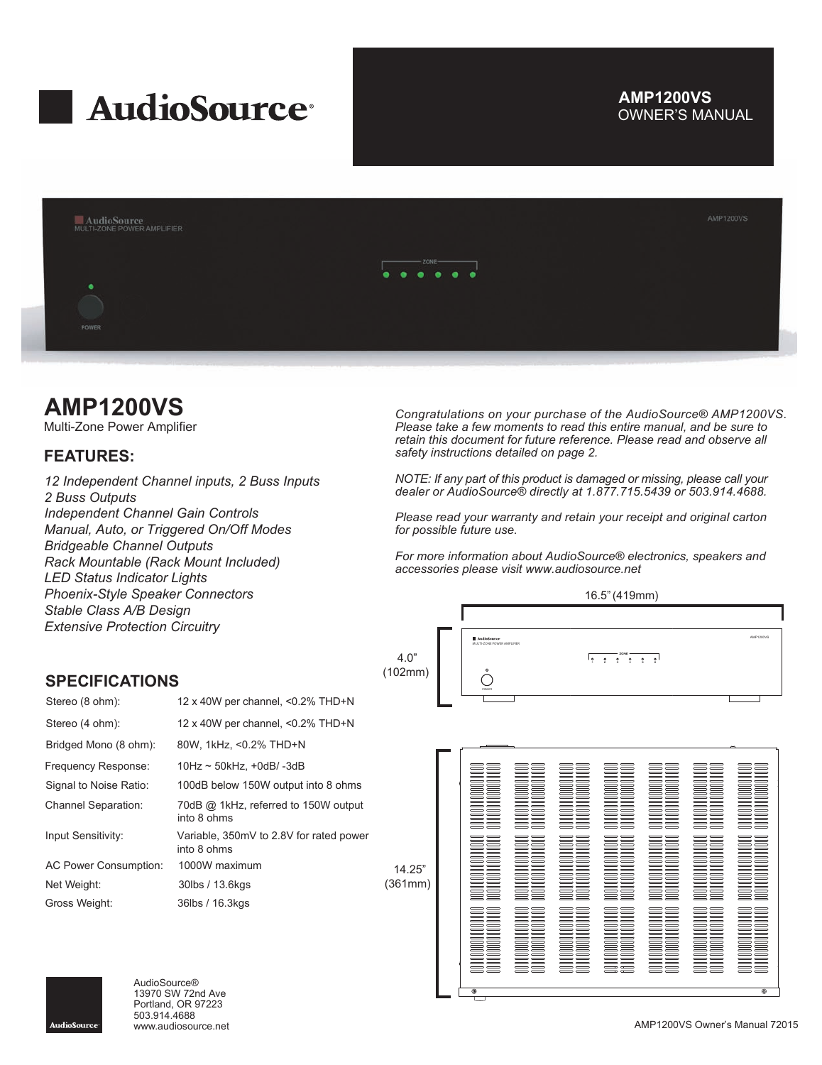

## OWNER'S MANUAL **AMP1200VS**



## **AMP1200VS**

Multi-Zone Power Amplifier

## **FEATURES:**

*12 Independent Channel inputs, 2 Buss Inputs 2 Buss Outputs Independent Channel Gain Controls Manual, Auto, or Triggered On/Off Modes Bridgeable Channel Outputs Rack Mountable (Rack Mount Included) LED Status Indicator Lights Phoenix-Style Speaker Connectors Stable Class A/B Design Extensive Protection Circuitry*

*Congratulations on your purchase of the AudioSource® AMP1200VS. Please take a few moments to read this entire manual, and be sure to retain this document for future reference. Please read and observe all safety instructions detailed on page 2.*

*NOTE: If any part of this product is damaged or missing, please call your dealer or AudioSource® directly at 1.877.715.5439 or 503.914.4688.*

*Please read your warranty and retain your receipt and original carton for possible future use.*

*For more information about AudioSource® electronics, speakers and accessories please visit www.audiosource.net*





| Stereo (8 ohm):              | 12 x 40W per channel, <0.2% THD+N                      |    |
|------------------------------|--------------------------------------------------------|----|
| Stereo (4 ohm):              | 12 x 40W per channel, <0.2% THD+N                      |    |
| Bridged Mono (8 ohm):        | 80W, 1kHz, <0.2% THD+N                                 |    |
| Frequency Response:          | $10Hz \sim 50kHz$ , +0dB/-3dB                          |    |
| Signal to Noise Ratio:       | 100dB below 150W output into 8 ohms                    |    |
| <b>Channel Separation:</b>   | 70dB @ 1kHz, referred to 150W output<br>into 8 ohms    |    |
| Input Sensitivity:           | Variable, 350mV to 2.8V for rated power<br>into 8 ohms |    |
| <b>AC Power Consumption:</b> | 1000W maximum                                          |    |
| Net Weight:                  | 30lbs / 13.6kgs                                        | (3 |
| Gross Weight:                | 36lbs / 16.3kgs                                        |    |





AudioSource® 13970 SW 72nd Ave Portland, OR 97223 503.914.4688

AMP1200VS Owner's Manual 72015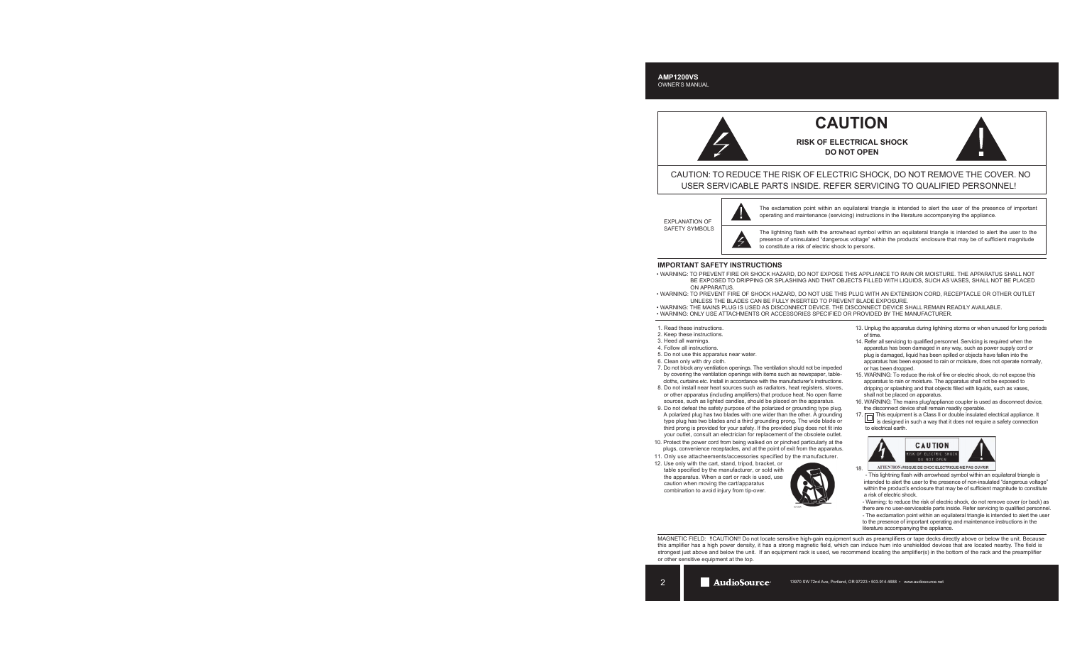# **CAUTION**

**RISK OF ELECTRICAL SHOCK DO NOT OPEN**



CAUTION: TO REDUCE THE RISK OF ELECTRIC SHOCK, DO NOT REMOVE THE COVER. NO USER SERVICABLE PARTS INSIDE. REFER SERVICING TO QUALIFIED PERSONNEL!

EXPLANATION OF SAFETY SYMBOLS



The exclamation point within an equilateral triangle is intended to alert the user of the presence of important operating and maintenance (servicing) instructions in the literature accompanying the appliance.

The lightning flash with the arrowhead symbol within an equilateral triangle is intended to alert the user to the presence of uninsulated "dangerous voltage" within the products' enclosure that may be of sufficient magnitude to constitute a risk of electric shock to persons.

## **IMPORTANT SAFETY INSTRUCTIONS**

- WARNING: TO PREVENT FIRE OR SHOCK HAZARD, DO NOT EXPOSE THIS APPLIANCE TO RAIN OR MOISTURE. THE APPARATUS SHALL NOT BE EXPOSED TO DRIPPING OR SPLASHING AND THAT OBJECTS FILLED WITH LIQUIDS, SUCH AS VASES, SHALL NOT BE PLACED ON APPARATUS.
- WARNING: TO PREVENT FIRE OF SHOCK HAZARD, DO NOT USE THIS PLUG WITH AN EXTENSION CORD, RECEPTACLE OR OTHER OUTLET UNLESS THE BLADES CAN BE FULLY INSERTED TO PREVENT BLADE EXPOSURE.
- WARNING: THE MAINS PLUG IS USED AS DISCONNECT DEVICE. THE DISCONNECT DEVICE SHALL REMAIN READILY AVAILABLE.
- WARNING: ONLY USE ATTACHMENTS OR ACCESSORIES SPECIFIED OR PROVIDED BY THE MANUFACTURER.
- 1. Read these instructions.
- 2. Keep these instructions.
- 3. Heed all warnings.
- 4. Follow all instructions.
- 5. Do not use this apparatus near water.
- 6. Clean only with dry cloth.
- 7. Do not block any ventilation openings. The ventilation should not be impeded by covering the ventilation openings with items such as newspaper, table cloths, curtains etc. Install in accordance with the manufacturer's instructions.
- 8. Do not install near heat sources such as radiators, heat registers, stoves, or other apparatus (including amplifiers) that produce heat. No open flame sources, such as lighted candles, should be placed on the apparatus.
- 9. Do not defeat the safety purpose of the polarized or grounding type plug. A polarized plug has two blades with one wider than the other. A grounding type plug has two blades and a third grounding prong. The wide blade or third prong is provided for your safety. If the provided plug does not fit into your outlet, consult an electrician for replacement of the obsolete outlet.
- 10. Protect the power cord from being walked on or pinched particularly at the plugs, convenience receptacles, and at the point of exit from the apparatus.
- 11. Only use attacheements/accessories specified by the manufacturer.
- 12. Use only with the cart, stand, tripod, bracket, or table specified by the manufacturer, or sold with the apparatus. When a cart or rack is used, use caution when moving the cart/apparatus combination to avoid injury from tip-over.



- 13. Unplug the apparatus during lightning storms or when unused for long periods of time.
- 14. Refer all servicing to qualified personnel. Servicing is required when the apparatus has been damaged in any way, such as power supply cord or plug is damaged, liquid has been spilled or objects have fallen into the apparatus has been exposed to rain or moisture, does not operate normally, or has been dropped.
- 15. WARNING: To reduce the risk of fire or electric shock, do not expose this apparatus to rain or moisture. The apparatus shall not be exposed to dripping or splashing and that objects filled with liquids, such as vases, shall not be placed on apparatus.
- 16. WARNING: The mains plug/appliance coupler is used as disconnect device, the disconnect device shall remain readily operable.
- 17. This equipment is a Class II or double insulated electrical appliance. It is designed in such a way that it does not require a safety connection to electrical earth.



ATTENTION: RISQUE DE CHOC ELECTRIQUE-NE PAS OUVRIR 18.

 - This lightning flash with arrowhead symbol within an equilateral triangle is intended to alert the user to the presence of non-insulated "dangerous voltage" within the product's enclosure that may be of sufficient magnitude to constitute a risk of electric shock.

 - Warning: to reduce the risk of electric shock, do not remove cover (or back) as there are no user-serviceable parts inside. Refer servicing to qualified personnel. - The exclamation point within an equilateral triangle is intended to alert the user

 to the presence of important operating and maintenance instructions in the literature accompanying the appliance.

MAGNETIC FIELD: !!CAUTION!! Do not locate sensitive high-gain equipment such as preamplifiers or tape decks directly above or below the unit. Because this amplifier has a high power density, it has a strong magnetic field, which can induce hum into unshielded devices that are located nearby. The field is strongest just above and below the unit. If an equipment rack is used, we recommend locating the amplifier(s) in the bottom of the rack and the preamplifier or other sensitive equipment at the top.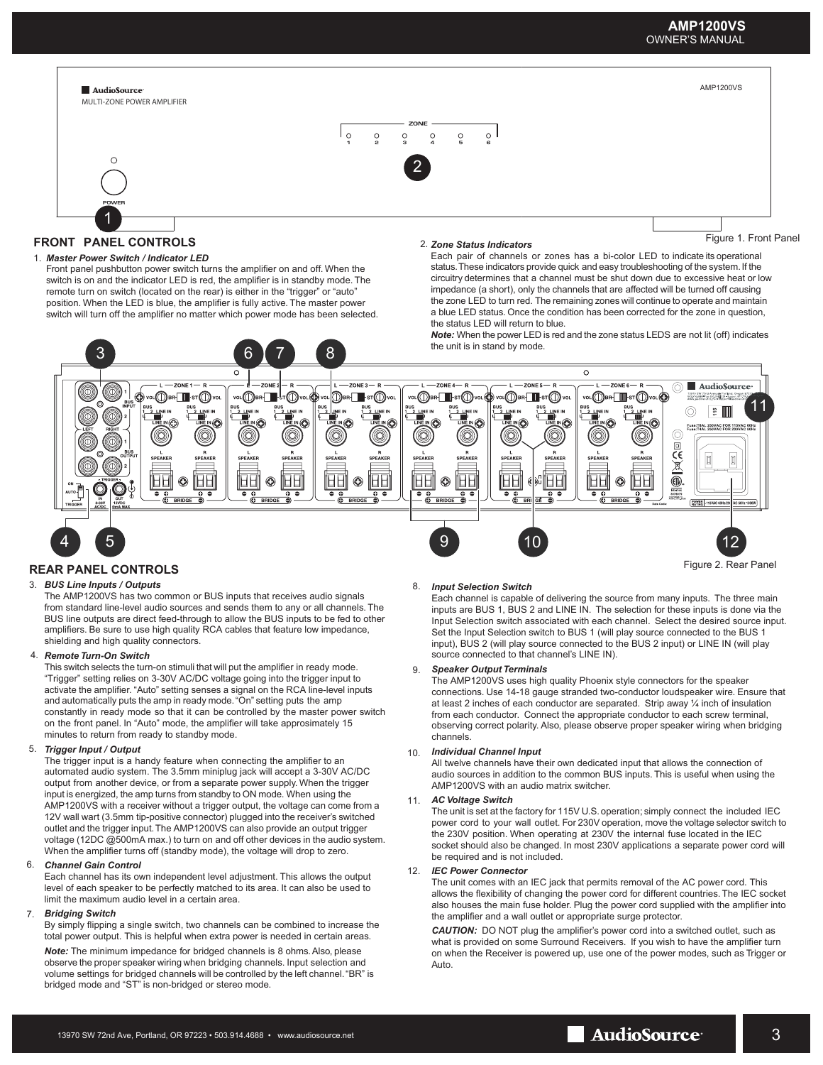## **AMP1200VS** OWNER'S MANUAL

AMP1200VS





## **REAR PANEL CONTROLS**

AudioSource

## 3. *BUS Line Inputs / Outputs*

The AMP1200VS has two common or BUS inputs that receives audio signals from standard line-level audio sources and sends them to any or all channels. The BUS line outputs are direct feed-through to allow the BUS inputs to be fed to other amplifiers. Be sure to use high quality RCA cables that feature low impedance, shielding and high quality connectors.

## 4. *Remote Turn-On Switch*

This switch selects the turn-on stimuli that will put the amplifier in ready mode. "Trigger" setting relies on 3-30V AC/DC voltage going into the trigger input to activate the amplifier. "Auto" setting senses a signal on the RCA line-level inputs and automatically puts the amp in ready mode. "On" setting puts the amp constantly in ready mode so that it can be controlled by the master power switch on the front panel. In "Auto" mode, the amplifier will take approsimately 15 minutes to return from ready to standby mode.

## 5. *Trigger Input / Output*

The trigger input is a handy feature when connecting the amplifier to an automated audio system. The 3.5mm miniplug jack will accept a 3-30V AC/DC output from another device, or from a separate power supply. When the trigger input is energized, the amp turns from standby to ON mode. When using the AMP1200VS with a receiver without a trigger output, the voltage can come from a 12V wall wart (3.5mm tip-positive connector) plugged into the receiver's switched outlet and the trigger input. The AMP1200VS can also provide an output trigger voltage (12DC @500mA max.) to turn on and off other devices in the audio system. When the amplifier turns off (standby mode), the voltage will drop to zero.

#### 6. *Channel Gain Control*

Each channel has its own independent level adjustment. This allows the output level of each speaker to be perfectly matched to its area. It can also be used to limit the maximum audio level in a certain area.

## *Bridging Switch* 7.

By simply flipping a single switch, two channels can be combined to increase the total power output. This is helpful when extra power is needed in certain areas.

*Note:* The minimum impedance for bridged channels is 8 ohms. Also, please observe the proper speaker wiring when bridging channels. Input selection and volume settings for bridged channels will be controlled by the left channel. "BR" is bridged mode and "ST" is non-bridged or stereo mode.

## 8. *Input Selection Switch*

Each channel is capable of delivering the source from many inputs. The three main inputs are BUS 1, BUS 2 and LINE IN. The selection for these inputs is done via the Input Selection switch associated with each channel. Select the desired source input. Set the Input Selection switch to BUS 1 (will play source connected to the BUS 1 input), BUS 2 (will play source connected to the BUS 2 input) or LINE IN (will play source connected to that channel's LINE IN).

#### 9. *Speaker Output Terminals*

The AMP1200VS uses high quality Phoenix style connectors for the speaker connections. Use 14-18 gauge stranded two-conductor loudspeaker wire. Ensure that at least 2 inches of each conductor are separated. Strip away ¼ inch of insulation from each conductor. Connect the appropriate conductor to each screw terminal, observing correct polarity. Also, please observe proper speaker wiring when bridging channels.

#### 10. *Individual Channel Input*

All twelve channels have their own dedicated input that allows the connection of audio sources in addition to the common BUS inputs. This is useful when using the AMP1200VS with an audio matrix switcher.

## 11. *AC Voltage Switch*

The unit is set at the factory for 115V U.S. operation; simply connect the included IEC power cord to your wall outlet. For 230V operation, move the voltage selector switch to the 230V position. When operating at 230V the internal fuse located in the IEC socket should also be changed. In most 230V applications a separate power cord will be required and is not included.

## *IEC Power Connector* 12.

The unit comes with an IEC jack that permits removal of the AC power cord. This allows the flexibility of changing the power cord for different countries. The IEC socket also houses the main fuse holder. Plug the power cord supplied with the amplifier into the amplifier and a wall outlet or appropriate surge protector.

*CAUTION:* DO NOT plug the amplifier's power cord into a switched outlet, such as what is provided on some Surround Receivers. If you wish to have the amplifier turn on when the Receiver is powered up, use one of the power modes, such as Trigger or Auto.